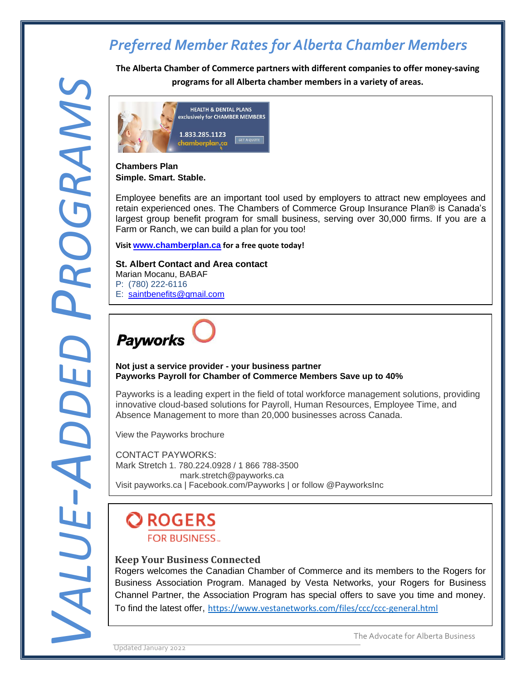**The Alberta Chamber of Commerce partners with different companies to offer money-saving programs for all Alberta chamber members in a variety of areas.**



#### **Chambers Plan Simple. Smart. Stable.**

Employee benefits are an important tool used by employers to attract new employees and retain experienced ones. The Chambers of Commerce Group Insurance Plan® is Canada's largest group benefit program for small business, serving over 30,000 firms. If you are a Farm or Ranch, we can build a plan for you too!

**Visit [www.chamberplan.ca](http://www.chamberplan.ca/) for a free quote today!**

### **St. Albert Contact and Area contact**

Marian Mocanu, BABAF P: (780) 222-6116 E: [saintbenefits@gmail.com](mailto:saintbenefits@gmail.com)



#### **Not just a service provider - your business partner Payworks Payroll for Chamber of Commerce Members Save up to 40%**

Payworks is a leading expert in the field of total workforce management solutions, providing innovative cloud-based solutions for Payroll, Human Resources, Employee Time, and Absence Management to more than 20,000 businesses across Canada.

View the [Payworks](https://chambermaster.blob.core.windows.net/userfiles/UserFiles/chambers/2087/CMS/Value_Added_Benefits/Payworks/Chamber-Payworks-loyalty-2018-(1).pdf) brochure

CONTACT PAYWORKS: Mark Stretch 1. 780.224.0928 / 1 866 788-3500 mark.stretch@payworks.ca Visit payworks.ca | Facebook.com/Payworks | or follow @PayworksInc

### **OROGERS FOR BUSINESS...**

### **Keep Your Business Connected**

Rogers welcomes the Canadian Chamber of Commerce and its members to the Rogers for Business Association Program. Managed by Vesta Networks, your Rogers for Business Channel Partner, the Association Program has special offers to save you time and money. To find the latest offer, <https://www.vestanetworks.com/files/ccc/ccc-general.html>

Updated January 2022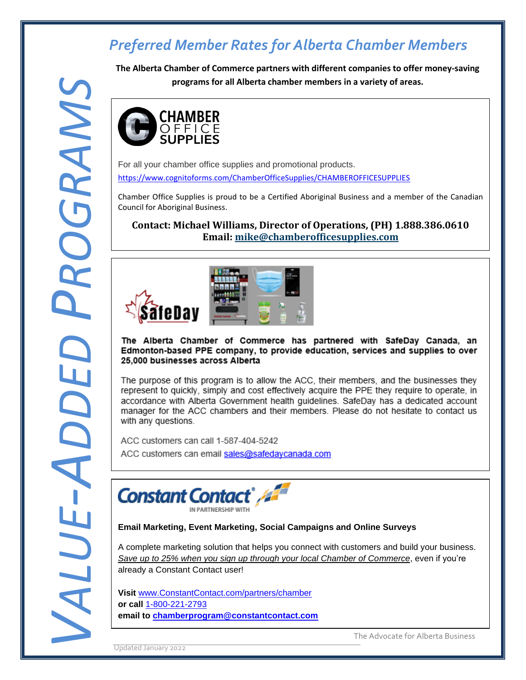**The Alberta Chamber of Commerce partners with different companies to offer money-saving programs for all Alberta chamber members in a variety of areas.**



For all your chamber office supplies and promotional products. <https://www.cognitoforms.com/ChamberOfficeSupplies/CHAMBEROFFICESUPPLIES>

Chamber Office Supplies is proud to be a Certified Aboriginal Business and a member of the Canadian Council for Aboriginal Business.

**Contact: Michael Williams, Director of Operations, (PH) 1.888.386.0610 Email: [mike@chamberofficesupplies.com](mailto:mike@chamberofficesupplies.com)**



The Alberta Chamber of Commerce has partnered with SafeDay Canada, an Edmonton-based PPE company, to provide education, services and supplies to over 25,000 businesses across Alberta

The purpose of this program is to allow the ACC, their members, and the businesses they represent to quickly, simply and cost effectively acquire the PPE they require to operate, in accordance with Alberta Government health quidelines. SafeDay has a dedicated account manager for the ACC chambers and their members. Please do not hesitate to contact us with any questions.

ACC customers can call 1-587-404-5242



**Email Marketing, Event Marketing, Social Campaigns and Online Surveys**

A complete marketing solution that helps you connect with customers and build your business. *Save up to 25% when you sign up through your local Chamber of Commerce*, even if you're already a Constant Contact user!

**Exercise 12 constant in the Advocate for Alberta Business** The Advocate for Alberta Business **Visit** [www.ConstantContact.com/partners/chamber](http://www.constantcontact.com/partners/chamber%0bor%20call%201-800-221-2793) **or call** [1-800-221-2793](http://www.constantcontact.com/partners/chamber%0bor%20call%201-800-221-2793)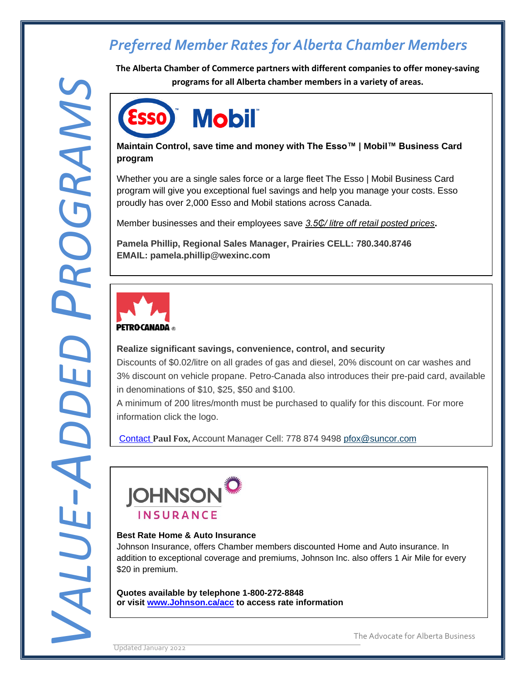**The Alberta Chamber of Commerce partners with different companies to offer money-saving programs for all Alberta chamber members in a variety of areas.**

## **Mobil** ESSO

### **Maintain Control, save time and money with The Esso™ | Mobil™ Business Card program**

Whether you are a single sales force or a large fleet The Esso | Mobil Business Card program will give you exceptional fuel savings and help you manage your costs. Esso proudly has over 2,000 Esso and Mobil stations across Canada.

Member businesses and their employees save *3.5₵/ litre off retail posted prices***.** 

**Pamela Phillip, Regional Sales Manager, Prairies CELL: 780.340.8746 EMAIL: pamela.phillip@wexinc.com**



### **Realize significant savings, convenience, control, and security**

Discounts of \$0.02/litre on all grades of gas and diesel, 20% discount on car washes and 3% discount on vehicle propane. Petro-Canada also introduces their pre-paid card, available in denominations of \$10, \$25, \$50 and \$100.

A minimum of 200 litres/month must be purchased to qualify for this discount. For more information click the logo.

[Contact](mailto:Contact ) **Paul Fox,** Account Manager Cell: 778 874 9498 [pfox@suncor.com](mailto:pfox@suncor.com)



### **Best Rate Home & Auto Insurance**

Johnson Insurance, offers Chamber members discounted Home and Auto insurance. In addition to exceptional coverage and premiums, Johnson Inc. also offers 1 Air Mile for every \$20 in premium.

**Quotes available by telephone 1-800-272-8848 or visit [www.Johnson.ca/acc](http://www.johnson.ca/chamber) to access rate information**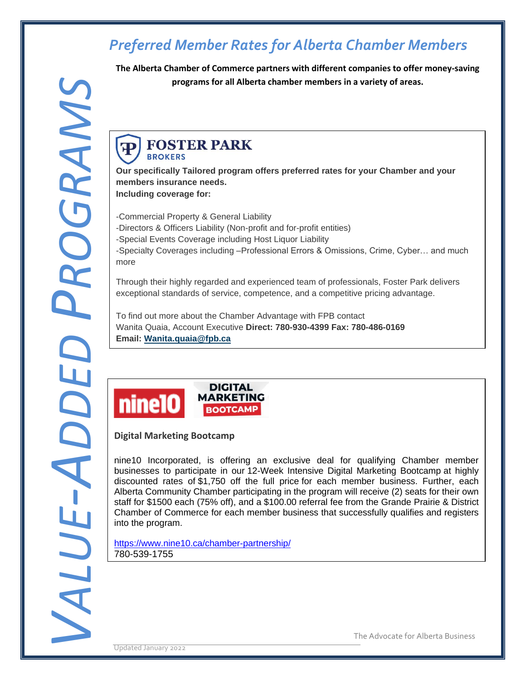**The Alberta Chamber of Commerce partners with different companies to offer money-saving programs for all Alberta chamber members in a variety of areas.**

#### **FOSTER PARK** P<sub>1</sub> **BROKERS**

**Our specifically Tailored program offers preferred rates for your Chamber and your members insurance needs. Including coverage for:**

-Commercial Property & General Liability

-Directors & Officers Liability (Non-profit and for-profit entities)

-Special Events Coverage including Host Liquor Liability

-Specialty Coverages including –Professional Errors & Omissions, Crime, Cyber… and much more

Through their highly regarded and experienced team of professionals, Foster Park delivers exceptional standards of service, competence, and a competitive pricing advantage.

To find out more about the Chamber Advantage with FPB contact Wanita Quaia, Account Executive **Direct: 780-930-4399 Fax: 780-486-0169 Email: [Wanita.quaia@fpb.ca](mailto:Wanita.quaia@fpb.ca)**



### **Digital Marketing Bootcamp**

nine10 Incorporated, is offering an exclusive deal for qualifying Chamber member businesses to participate in our 12-Week Intensive Digital Marketing Bootcamp at highly discounted rates of \$1,750 off the full price for each member business. Further, each Alberta Community Chamber participating in the program will receive (2) seats for their own staff for \$1500 each (75% off), and a \$100.00 referral fee from the Grande Prairie & District Chamber of Commerce for each member business that successfully qualifies and registers into the program.

<https://www.nine10.ca/chamber-partnership/> 780-539-1755

Updated January 2022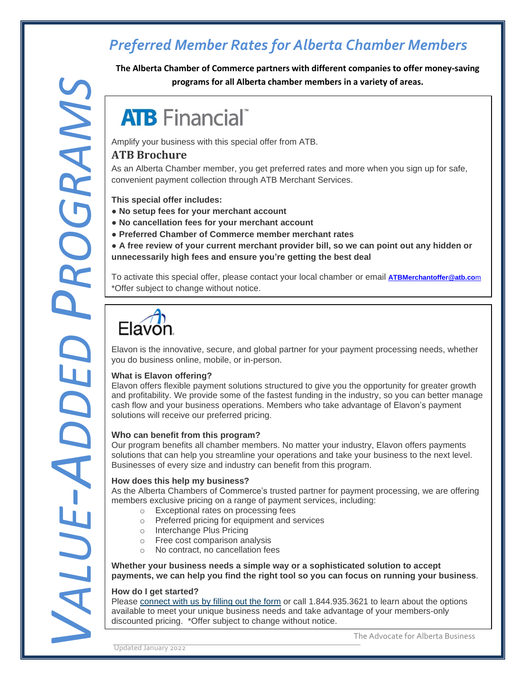**The Alberta Chamber of Commerce partners with different companies to offer money-saving programs for all Alberta chamber members in a variety of areas.**

# **ATB** Financial

Amplify your business with this special offer from ATB.

### **ATB [Brochure](https://chambermaster.blob.core.windows.net/userfiles/UserFiles/chambers/2087/CMS/Brochure-PDF---ATB-Merchant-Chamber-Member-Offer.pdf)**

As an Alberta Chamber member, you get preferred rates and more when you sign up for safe, convenient payment collection through ATB Merchant Services.

**This special offer includes:**

- **No setup fees for your merchant account**
- **● No cancellation fees for your merchant account**
- **● Preferred Chamber of Commerce member merchant rates**
- **● A free review of your current merchant provider bill, so we can point out any hidden or unnecessarily high fees and ensure you're getting the best deal**

To activate this special offer, please contact your local chamber or email **[ATBMerchantoffer@atb.co](../ATBMerchantoffer@atb.com)**m \*Offer subject to change without notice.



Elavon is the innovative, secure, and global partner for your payment processing needs, whether you do business online, mobile, or in-person.

#### **What is Elavon offering?**

Elavon offers flexible payment solutions structured to give you the opportunity for greater growth and profitability. We provide some of the fastest funding in the industry, so you can better manage cash flow and your business operations. Members who take advantage of Elavon's payment solutions will receive our preferred pricing.

### **Who can benefit from this program?**

Our program benefits all chamber members. No matter your industry, Elavon offers payments solutions that can help you streamline your operations and take your business to the next level. Businesses of every size and industry can benefit from this program.

### **How does this help my business?**

As the Alberta Chambers of Commerce's trusted partner for payment processing, we are offering members exclusive pricing on a range of payment services, including:

- o Exceptional rates on processing fees
- o Preferred pricing for equipment and services
- o Interchange Plus Pricing
- o Free cost comparison analysis
- No contract, no cancellation fees

**Whether your business needs a simple way or a sophisticated solution to accept payments, we can help you find the right tool so you can focus on running your business**.

#### **How do I get started?**

available to meet your unique business needs and take advantage of your members-only<br>discounted pricing. \*Offer subject to change without notice.<br>The Advocate for Alberta Business Please [connect](https://join.paymentstart.com/cachamber) with us by filling out the form or call 1.844.935.3621 to learn about the options available to meet your unique business needs and take advantage of your members-only discounted pricing. \*Offer subject to change without notice.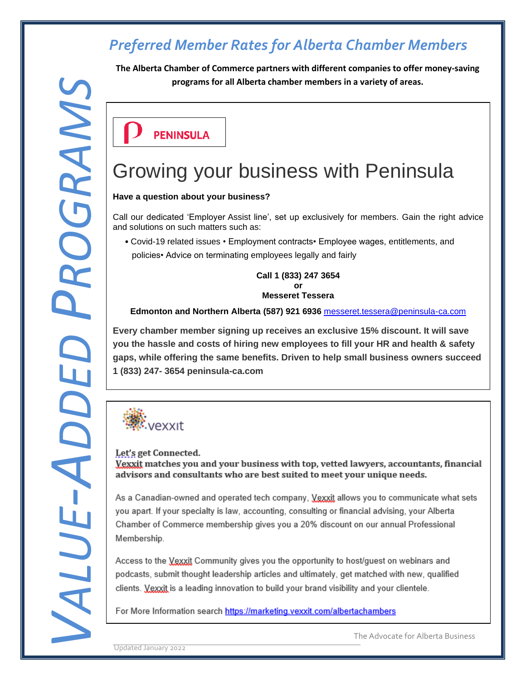**The Alberta Chamber of Commerce partners with different companies to offer money-saving programs for all Alberta chamber members in a variety of areas.**

**PENINSULA** 

# Growing your business with Peninsula

#### **Have a question about your business?**

Call our dedicated 'Employer Assist line', set up exclusively for members. Gain the right advice and solutions on such matters such as:

 • Covid-19 related issues • Employment contracts• Employee wages, entitlements, and policies• Advice on terminating employees legally and fairly

> **Call 1 (833) 247 3654 or Messeret Tessera**

### **Edmonton and Northern Alberta (587) 921 6936** [messeret.tessera@peninsula-ca.com](mailto:messeret.tessera@peninsula-ca.com)

**Every chamber member signing up receives an exclusive 15% discount. It will save you the hassle and costs of hiring new employees to fill your HR and health & safety gaps, while offering the same benefits. Driven to help small business owners succeed 1 (833) 247- 3654 peninsula-ca.com**



As a Canadian-owned and operated tech company, Vexxit allows you to communicate what sets

The Advocate for Alberta Business<br>The Advocate for Alberta Business